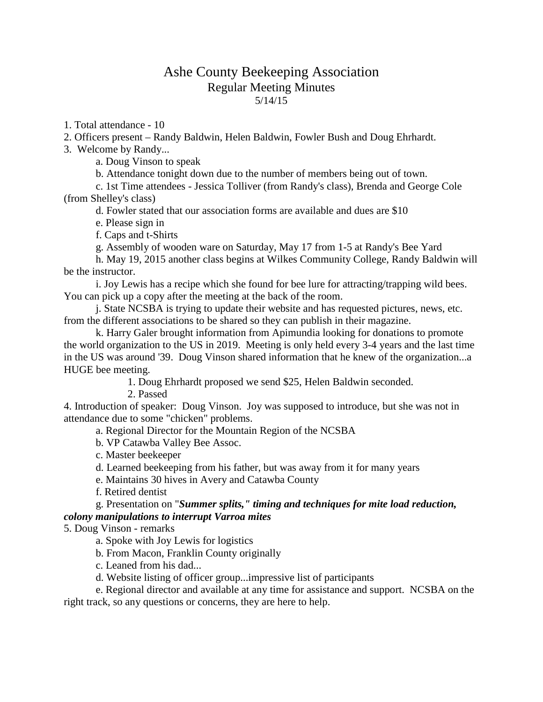## Ashe County Beekeeping Association Regular Meeting Minutes 5/14/15

1. Total attendance - 10

2. Officers present – Randy Baldwin, Helen Baldwin, Fowler Bush and Doug Ehrhardt.

3. Welcome by Randy...

a. Doug Vinson to speak

b. Attendance tonight down due to the number of members being out of town.

c. 1st Time attendees - Jessica Tolliver (from Randy's class), Brenda and George Cole (from Shelley's class)

d. Fowler stated that our association forms are available and dues are \$10

e. Please sign in

f. Caps and t-Shirts

g. Assembly of wooden ware on Saturday, May 17 from 1-5 at Randy's Bee Yard

h. May 19, 2015 another class begins at Wilkes Community College, Randy Baldwin will be the instructor.

i. Joy Lewis has a recipe which she found for bee lure for attracting/trapping wild bees. You can pick up a copy after the meeting at the back of the room.

j. State NCSBA is trying to update their website and has requested pictures, news, etc. from the different associations to be shared so they can publish in their magazine.

k. Harry Galer brought information from Apimundia looking for donations to promote the world organization to the US in 2019. Meeting is only held every 3-4 years and the last time in the US was around '39. Doug Vinson shared information that he knew of the organization...a HUGE bee meeting.

1. Doug Ehrhardt proposed we send \$25, Helen Baldwin seconded.

2. Passed

4. Introduction of speaker: Doug Vinson. Joy was supposed to introduce, but she was not in attendance due to some "chicken" problems.

a. Regional Director for the Mountain Region of the NCSBA

b. VP Catawba Valley Bee Assoc.

c. Master beekeeper

d. Learned beekeeping from his father, but was away from it for many years

e. Maintains 30 hives in Avery and Catawba County

f. Retired dentist

g. Presentation on "*Summer splits," timing and techniques for mite load reduction, colony manipulations to interrupt Varroa mites*

5. Doug Vinson - remarks

a. Spoke with Joy Lewis for logistics

b. From Macon, Franklin County originally

c. Leaned from his dad...

d. Website listing of officer group...impressive list of participants

e. Regional director and available at any time for assistance and support. NCSBA on the right track, so any questions or concerns, they are here to help.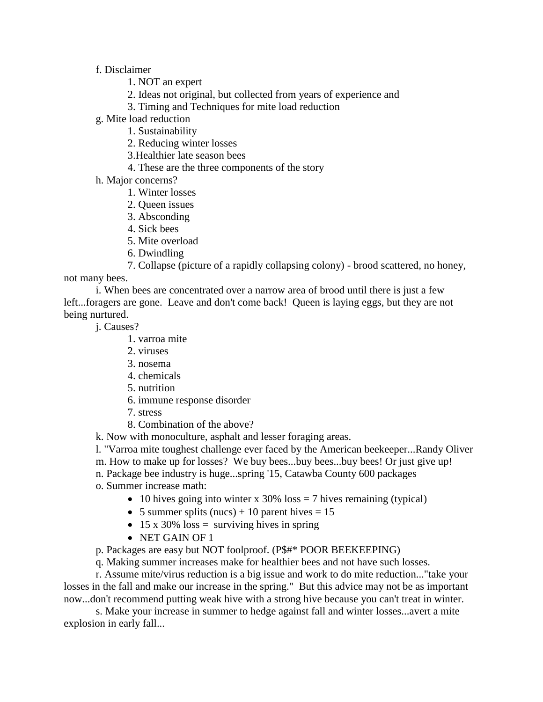f. Disclaimer

- 1. NOT an expert
- 2. Ideas not original, but collected from years of experience and
- 3. Timing and Techniques for mite load reduction
- g. Mite load reduction
	- 1. Sustainability
	- 2. Reducing winter losses
	- 3.Healthier late season bees
	- 4. These are the three components of the story
- h. Major concerns?
	- 1. Winter losses
	- 2. Queen issues
	- 3. Absconding
	- 4. Sick bees
	- 5. Mite overload
	- 6. Dwindling
	- 7. Collapse (picture of a rapidly collapsing colony) brood scattered, no honey,

not many bees.

i. When bees are concentrated over a narrow area of brood until there is just a few left...foragers are gone. Leave and don't come back! Queen is laying eggs, but they are not being nurtured.

j. Causes?

- 1. varroa mite
- 2. viruses
- 3. nosema
- 4. chemicals
- 5. nutrition
- 6. immune response disorder
- 7. stress
- 8. Combination of the above?

k. Now with monoculture, asphalt and lesser foraging areas.

l. "Varroa mite toughest challenge ever faced by the American beekeeper...Randy Oliver

m. How to make up for losses? We buy bees...buy bees...buy bees! Or just give up!

- n. Package bee industry is huge...spring '15, Catawba County 600 packages
- o. Summer increase math:
	- 10 hives going into winter x 30%  $\cos = 7$  hives remaining (typical)
	- 5 summer splits (nucs) + 10 parent hives  $= 15$
	- 15 x 30% loss  $=$  surviving hives in spring
	- NET GAIN OF 1
- p. Packages are easy but NOT foolproof. (P\$#\* POOR BEEKEEPING)
- q. Making summer increases make for healthier bees and not have such losses.

r. Assume mite/virus reduction is a big issue and work to do mite reduction..."take your losses in the fall and make our increase in the spring." But this advice may not be as important now...don't recommend putting weak hive with a strong hive because you can't treat in winter.

s. Make your increase in summer to hedge against fall and winter losses...avert a mite explosion in early fall...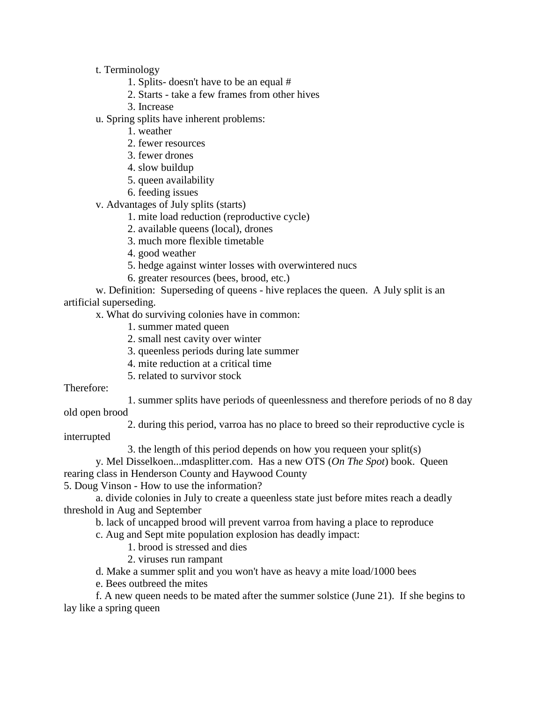t. Terminology

1. Splits- doesn't have to be an equal #

- 2. Starts take a few frames from other hives
- 3. Increase
- u. Spring splits have inherent problems:
	- 1. weather
	- 2. fewer resources
	- 3. fewer drones
	- 4. slow buildup
	- 5. queen availability
	- 6. feeding issues

v. Advantages of July splits (starts)

- 1. mite load reduction (reproductive cycle)
- 2. available queens (local), drones
- 3. much more flexible timetable
- 4. good weather
- 5. hedge against winter losses with overwintered nucs
- 6. greater resources (bees, brood, etc.)

w. Definition: Superseding of queens - hive replaces the queen. A July split is an artificial superseding.

x. What do surviving colonies have in common:

- 1. summer mated queen
- 2. small nest cavity over winter
- 3. queenless periods during late summer
- 4. mite reduction at a critical time
- 5. related to survivor stock

Therefore:

1. summer splits have periods of queenlessness and therefore periods of no 8 day old open brood

2. during this period, varroa has no place to breed so their reproductive cycle is

interrupted

3. the length of this period depends on how you requeen your split(s)

y. Mel Disselkoen...mdasplitter.com. Has a new OTS (*On The Spot*) book. Queen rearing class in Henderson County and Haywood County

5. Doug Vinson - How to use the information?

a. divide colonies in July to create a queenless state just before mites reach a deadly threshold in Aug and September

b. lack of uncapped brood will prevent varroa from having a place to reproduce

c. Aug and Sept mite population explosion has deadly impact:

- 1. brood is stressed and dies
- 2. viruses run rampant

d. Make a summer split and you won't have as heavy a mite load/1000 bees

e. Bees outbreed the mites

f. A new queen needs to be mated after the summer solstice (June 21). If she begins to lay like a spring queen